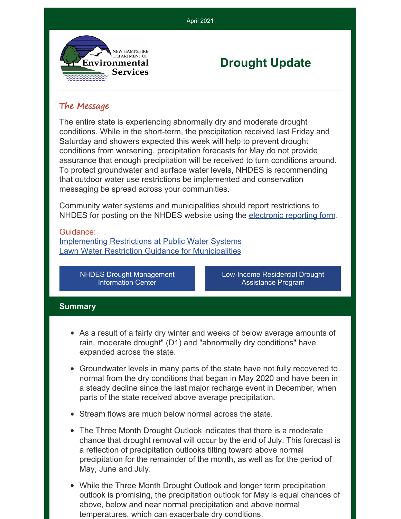

# **Drought Update**

# The Message

The entire state is experiencing abnormally dry and moderate drought conditions. While in the short-term, the precipitation received last Friday and Saturday and showers expected this week will help to prevent drought conditions from worsening, precipitation forecasts for May do not provide assurance that enough precipitation will be received to turn conditions around. To protect groundwater and surface water levels, NHDES is recommending that outdoor water use restrictions be implemented and conservation messaging be spread across your communities.

April 2021

Community water systems and municipalities should report restrictions to NHDES for posting on the NHDES website using the [electronic](https://www.surveymonkey.com/r/nhdes-w-03-210) reporting form.

#### Guidance:

[Implementing](https://www.des.nh.gov/sites/g/files/ehbemt341/files/documents/2020-01/mo-pws-water-use-restrictions.pdf) Restrictions at Public Water Systems Lawn Water Restriction Guidance for [Municipalities](https://www.des.nh.gov/sites/g/files/ehbemt341/files/documents/2020-01/mo-municipal-lawn-watering-restrictions.pdf)

> NHDES Drought [Management](https://www.des.nh.gov/climate-and-sustainability/storms-and-emergencies/drought) Information Center

[Low-Income](https://www4.des.state.nh.us/nh-dwg-trust/?page_id=1572) Residential Drought Assistance Program

# **Summary**

- As a result of a fairly dry winter and weeks of below average amounts of rain, moderate drought" (D1) and "abnormally dry conditions" have expanded across the state.
- Groundwater levels in many parts of the state have not fully recovered to normal from the dry conditions that began in May 2020 and have been in a steady decline since the last major recharge event in December, when parts of the state received above average precipitation.
- Stream flows are much below normal across the state.
- The Three Month Drought Outlook indicates that there is a moderate chance that drought removal will occur by the end of July. This forecast is a reflection of precipitation outlooks tilting toward above normal precipitation for the remainder of the month, as well as for the period of May, June and July.
- While the Three Month Drought Outlook and longer term precipitation outlook is promising, the precipitation outlook for May is equal chances of above, below and near normal precipitation and above normal temperatures, which can exacerbate dry conditions.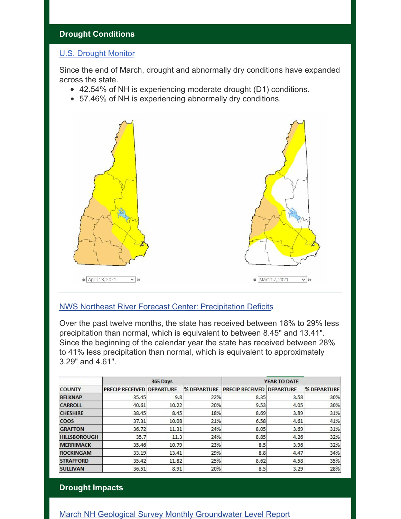# **Drought Conditions**

# [U.S. Drought Monitor](https://droughtmonitor.unl.edu/CurrentMap/StateDroughtMonitor.aspx?NH)

Since the end of March, drought and abnormally dry conditions have expanded across the state.

- 42.54% of NH is experiencing moderate drought (D1) conditions.
- 57.46% of NH is experiencing abnormally dry conditions.



# [NWS Northeast River Forecast Center: Precipitation Deficits](https://w1.weather.gov/data/TAR/ESPTAR)

Over the past twelve months, the state has received between 18% to 29% less precipitation than normal, which is equivalent to between 8.45" and 13.41". Since the beginning of the calendar year the state has received between 28% to 41% less precipitation than normal, which is equivalent to approximately 3.29" and 4.61".

| <b>COUNTY</b>       | 365 Days                         |       |                    | YEAR TO DATE           |                  |                    |
|---------------------|----------------------------------|-------|--------------------|------------------------|------------------|--------------------|
|                     | <b>PRECIP RECEIVED DEPARTURE</b> |       | <b>% DEPARTURE</b> | <b>PRECIP RECEIVED</b> | <b>DEPARTURE</b> | <b>% DEPARTURE</b> |
| <b>BELKNAP</b>      | 35.45                            | 9.8   | 22%                | 8.35                   | 3.58             | 30%                |
| <b>CARROLL</b>      | 40.61                            | 10.22 | 20%                | 9.53                   | 4.05             | 30%                |
| <b>CHESHIRE</b>     | 38.45                            | 8.45  | 18%                | 8.69                   | 3.89             | 31%                |
| <b>COOS</b>         | 37.31                            | 10.08 | 21%                | 6.58                   | 4.61             | 41%                |
| <b>GRAFTON</b>      | 36.72                            | 11.31 | 24%                | 8.05                   | 3.69             | 31%                |
| <b>HILLSBOROUGH</b> | 35.7                             | 11.3  | 24%                | 8.85                   | 4.26             | 32%                |
| <b>MERRIMACK</b>    | 35.46                            | 10.79 | 23%                | 8.5                    | 3.96             | 32%                |
| <b>ROCKINGAM</b>    | 33.19                            | 13.41 | 29%                | 8.8                    | 4.47             | 34%                |
| <b>STRAFFORD</b>    | 35.42                            | 11.82 | 25%                | 8.62                   | 4.58             | 35%                |
| <b>SULLIVAN</b>     | 36.51                            | 8.91  | 20%                | 8.5                    | 3.29             | 28%                |

#### **Drought Impacts**

[March NH Geological Survey Monthly Groundwater Level Report](https://www.des.nh.gov/sites/g/files/ehbemt341/files/documents/nhgs-gwlevels-mar2021.pdf)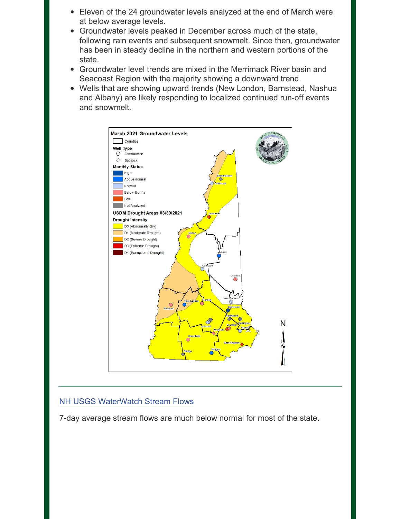- Eleven of the 24 groundwater levels analyzed at the end of March were at below average levels.
- Groundwater levels peaked in December across much of the state, following rain events and subsequent snowmelt. Since then, groundwater has been in steady decline in the northern and western portions of the state.
- Groundwater level trends are mixed in the Merrimack River basin and Seacoast Region with the majority showing a downward trend.
- Wells that are showing upward trends (New London, Barnstead, Nashua and Albany) are likely responding to localized continued run-off events and snowmelt.



# **[NH USGS WaterWatch Stream Flows](https://waterwatch.usgs.gov/index.php?r=nh&id=ww_current)**

7-day average stream flows are much below normal for most of the state.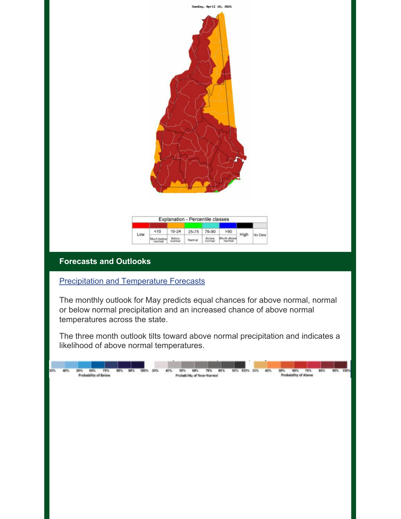

# **Forecasts and Outlooks**

# **[Precipitation and Temperature Forecasts](http://nedews.nrcc.cornell.edu/)**

The monthly outlook for May predicts equal chances for above normal, normal or below normal precipitation and an increased chance of above normal temperatures across the state.

The three month outlook tilts toward above normal precipitation and indicates a likelihood of above normal temperatures.

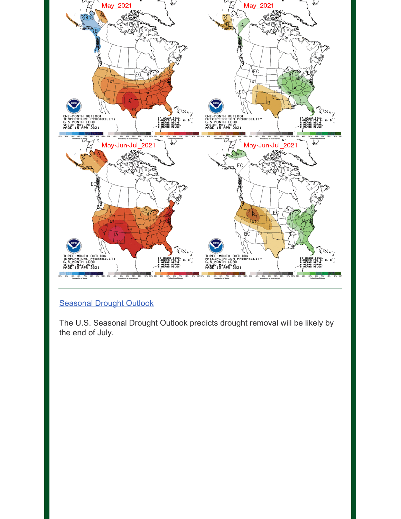

# [Seasonal Drought Outlook](https://www.cpc.ncep.noaa.gov/products/Drought/)

The U.S. Seasonal Drought Outlook predicts drought removal will be likely by the end of July.